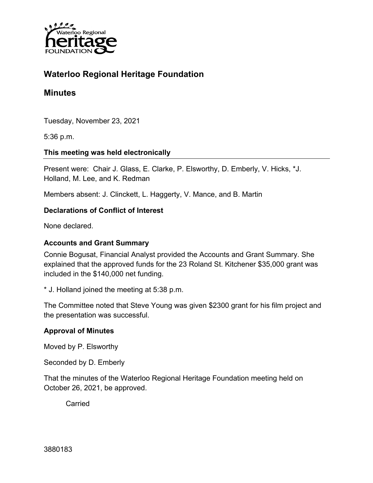

# **Waterloo Regional Heritage Foundation**

# **Minutes**

Tuesday, November 23, 2021

5:36 p.m.

### **This meeting was held electronically**

Present were: Chair J. Glass, E. Clarke, P. Elsworthy, D. Emberly, V. Hicks, \*J. Holland, M. Lee, and K. Redman

Members absent: J. Clinckett, L. Haggerty, V. Mance, and B. Martin

### **Declarations of Conflict of Interest**

None declared.

#### **Accounts and Grant Summary**

Connie Bogusat, Financial Analyst provided the Accounts and Grant Summary. She explained that the approved funds for the 23 Roland St. Kitchener \$35,000 grant was included in the \$140,000 net funding.

\* J. Holland joined the meeting at 5:38 p.m.

The Committee noted that Steve Young was given \$2300 grant for his film project and the presentation was successful.

### **Approval of Minutes**

Moved by P. Elsworthy

Seconded by D. Emberly

That the minutes of the Waterloo Regional Heritage Foundation meeting held on October 26, 2021, be approved.

**Carried**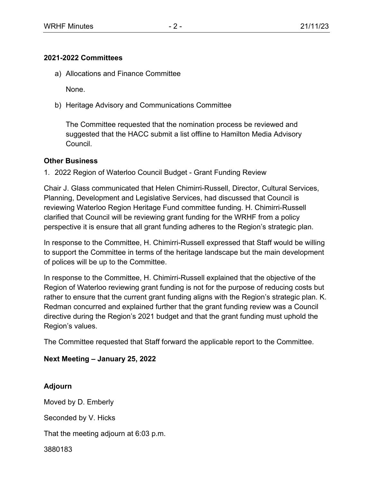#### **2021-2022 Committees**

a) Allocations and Finance Committee

None.

b) Heritage Advisory and Communications Committee

The Committee requested that the nomination process be reviewed and suggested that the HACC submit a list offline to Hamilton Media Advisory Council.

#### **Other Business**

1. 2022 Region of Waterloo Council Budget - Grant Funding Review

Chair J. Glass communicated that Helen Chimirri-Russell, Director, Cultural Services, Planning, Development and Legislative Services, had discussed that Council is reviewing Waterloo Region Heritage Fund committee funding. H. Chimirri-Russell clarified that Council will be reviewing grant funding for the WRHF from a policy perspective it is ensure that all grant funding adheres to the Region's strategic plan.

In response to the Committee, H. Chimirri-Russell expressed that Staff would be willing to support the Committee in terms of the heritage landscape but the main development of polices will be up to the Committee.

In response to the Committee, H. Chimirri-Russell explained that the objective of the Region of Waterloo reviewing grant funding is not for the purpose of reducing costs but rather to ensure that the current grant funding aligns with the Region's strategic plan. K. Redman concurred and explained further that the grant funding review was a Council directive during the Region's 2021 budget and that the grant funding must uphold the Region's values.

The Committee requested that Staff forward the applicable report to the Committee.

### **Next Meeting – January 25, 2022**

## **Adjourn**

Moved by D. Emberly

Seconded by V. Hicks

That the meeting adjourn at 6:03 p.m.

3880183